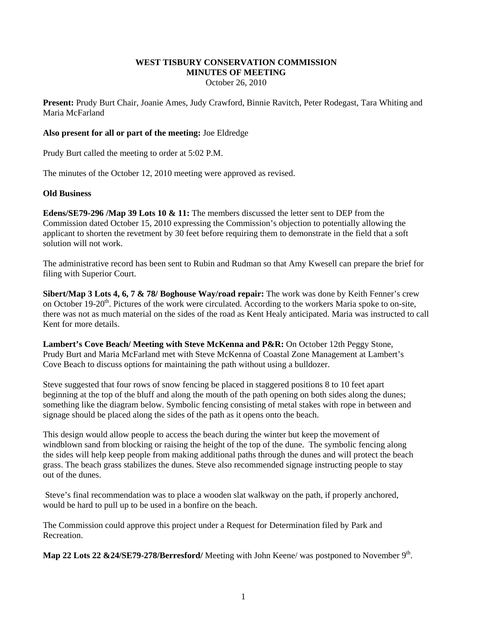# **WEST TISBURY CONSERVATION COMMISSION MINUTES OF MEETING**

October 26, 2010

**Present:** Prudy Burt Chair, Joanie Ames, Judy Crawford, Binnie Ravitch, Peter Rodegast, Tara Whiting and Maria McFarland

# **Also present for all or part of the meeting:** Joe Eldredge

Prudy Burt called the meeting to order at 5:02 P.M.

The minutes of the October 12, 2010 meeting were approved as revised.

### **Old Business**

**Edens/SE79-296 /Map 39 Lots 10 & 11:** The members discussed the letter sent to DEP from the Commission dated October 15, 2010 expressing the Commission's objection to potentially allowing the applicant to shorten the revetment by 30 feet before requiring them to demonstrate in the field that a soft solution will not work.

The administrative record has been sent to Rubin and Rudman so that Amy Kwesell can prepare the brief for filing with Superior Court.

**Sibert/Map 3 Lots 4, 6, 7 & 78/ Boghouse Way/road repair:** The work was done by Keith Fenner's crew on October 19-20<sup>th</sup>. Pictures of the work were circulated. According to the workers Maria spoke to on-site, there was not as much material on the sides of the road as Kent Healy anticipated. Maria was instructed to call Kent for more details.

**Lambert's Cove Beach/ Meeting with Steve McKenna and P&R:** On October 12th Peggy Stone, Prudy Burt and Maria McFarland met with Steve McKenna of Coastal Zone Management at Lambert's Cove Beach to discuss options for maintaining the path without using a bulldozer.

Steve suggested that four rows of snow fencing be placed in staggered positions 8 to 10 feet apart beginning at the top of the bluff and along the mouth of the path opening on both sides along the dunes; something like the diagram below. Symbolic fencing consisting of metal stakes with rope in between and signage should be placed along the sides of the path as it opens onto the beach.

This design would allow people to access the beach during the winter but keep the movement of windblown sand from blocking or raising the height of the top of the dune. The symbolic fencing along the sides will help keep people from making additional paths through the dunes and will protect the beach grass. The beach grass stabilizes the dunes. Steve also recommended signage instructing people to stay out of the dunes.

 Steve's final recommendation was to place a wooden slat walkway on the path, if properly anchored, would be hard to pull up to be used in a bonfire on the beach.

The Commission could approve this project under a Request for Determination filed by Park and Recreation.

Map 22 Lots 22 &24/SE79-278/Berresford/ Meeting with John Keene/ was postponed to November 9<sup>th</sup>.